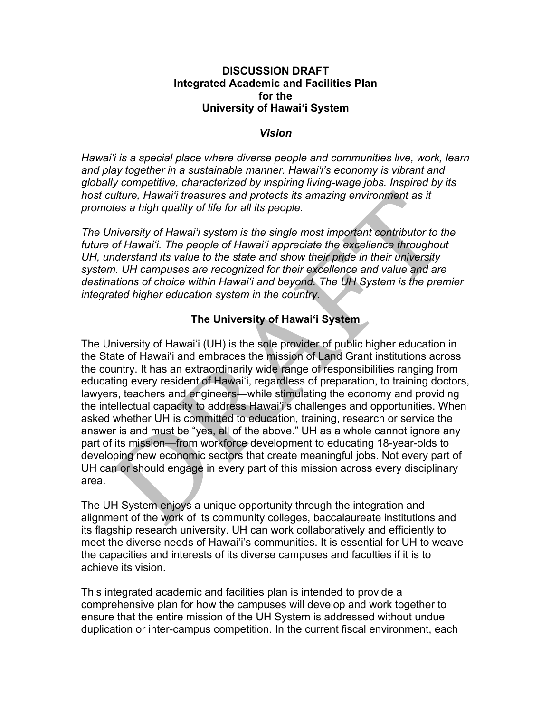#### **DISCUSSION DRAFT Integrated Academic and Facilities Plan for the University of Hawaiʻi System**

#### *Vision*

*Hawai'i is a special place where diverse people and communities live, work, learn and play together in a sustainable manner. Hawai'i's economy is vibrant and globally competitive, characterized by inspiring living-wage jobs. Inspired by its host culture, Hawai'i treasures and protects its amazing environment as it promotes a high quality of life for all its people.*

*The University of Hawai'i system is the single most important contributor to the future of Hawai'i. The people of Hawai'i appreciate the excellence throughout UH, understand its value to the state and show their pride in their university system. UH campuses are recognized for their excellence and value and are destinations of choice within Hawai'i and beyond. The UH System is the premier integrated higher education system in the country.*

### **The University of Hawaiʻi System**

The University of Hawaiʻi (UH) is the sole provider of public higher education in the State of Hawaiʻi and embraces the mission of Land Grant institutions across the country. It has an extraordinarily wide range of responsibilities ranging from educating every resident of Hawaiʻi, regardless of preparation, to training doctors, lawyers, teachers and engineers—while stimulating the economy and providing the intellectual capacity to address Hawaiʻi's challenges and opportunities. When asked whether UH is committed to education, training, research or service the answer is and must be "yes, all of the above." UH as a whole cannot ignore any part of its mission—from workforce development to educating 18-year-olds to developing new economic sectors that create meaningful jobs. Not every part of UH can or should engage in every part of this mission across every disciplinary area.

The UH System enjoys a unique opportunity through the integration and alignment of the work of its community colleges, baccalaureate institutions and its flagship research university. UH can work collaboratively and efficiently to meet the diverse needs of Hawaiʻi's communities. It is essential for UH to weave the capacities and interests of its diverse campuses and faculties if it is to achieve its vision.

This integrated academic and facilities plan is intended to provide a comprehensive plan for how the campuses will develop and work together to ensure that the entire mission of the UH System is addressed without undue duplication or inter-campus competition. In the current fiscal environment, each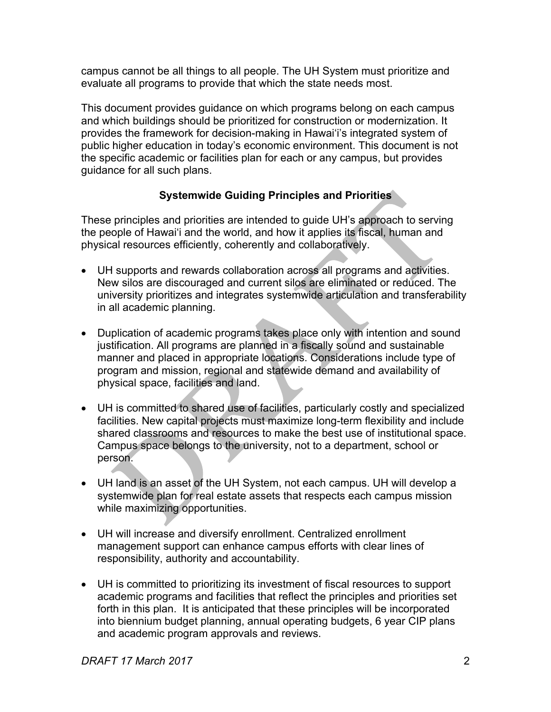campus cannot be all things to all people. The UH System must prioritize and evaluate all programs to provide that which the state needs most.

This document provides guidance on which programs belong on each campus and which buildings should be prioritized for construction or modernization. It provides the framework for decision-making in Hawaiʻi's integrated system of public higher education in today's economic environment. This document is not the specific academic or facilities plan for each or any campus, but provides guidance for all such plans.

# **Systemwide Guiding Principles and Priorities**

These principles and priorities are intended to guide UH's approach to serving the people of Hawaiʻi and the world, and how it applies its fiscal, human and physical resources efficiently, coherently and collaboratively.

- UH supports and rewards collaboration across all programs and activities. New silos are discouraged and current silos are eliminated or reduced. The university prioritizes and integrates systemwide articulation and transferability in all academic planning.
- Duplication of academic programs takes place only with intention and sound justification. All programs are planned in a fiscally sound and sustainable manner and placed in appropriate locations. Considerations include type of program and mission, regional and statewide demand and availability of physical space, facilities and land.
- UH is committed to shared use of facilities, particularly costly and specialized facilities. New capital projects must maximize long-term flexibility and include shared classrooms and resources to make the best use of institutional space. Campus space belongs to the university, not to a department, school or person.
- UH land is an asset of the UH System, not each campus. UH will develop a systemwide plan for real estate assets that respects each campus mission while maximizing opportunities.
- UH will increase and diversify enrollment. Centralized enrollment management support can enhance campus efforts with clear lines of responsibility, authority and accountability.
- UH is committed to prioritizing its investment of fiscal resources to support academic programs and facilities that reflect the principles and priorities set forth in this plan. It is anticipated that these principles will be incorporated into biennium budget planning, annual operating budgets, 6 year CIP plans and academic program approvals and reviews.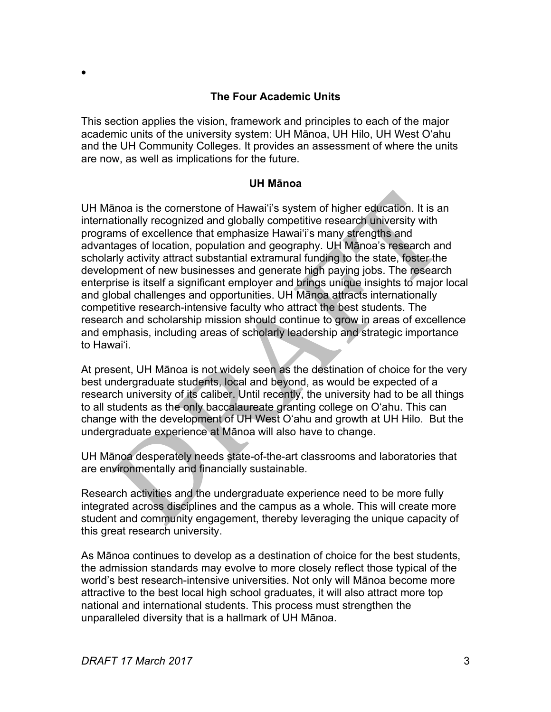### **The Four Academic Units**

This section applies the vision, framework and principles to each of the major academic units of the university system: UH Mānoa, UH Hilo, UH West Oʻahu and the UH Community Colleges. It provides an assessment of where the units are now, as well as implications for the future.

#### **UH Mānoa**

UH Mānoa is the cornerstone of Hawaiʻi's system of higher education. It is an internationally recognized and globally competitive research university with programs of excellence that emphasize Hawaiʻi's many strengths and advantages of location, population and geography. UH Mānoa's research and scholarly activity attract substantial extramural funding to the state, foster the development of new businesses and generate high paying jobs. The research enterprise is itself a significant employer and brings unique insights to major local and global challenges and opportunities. UH Mānoa attracts internationally competitive research-intensive faculty who attract the best students. The research and scholarship mission should continue to grow in areas of excellence and emphasis, including areas of scholarly leadership and strategic importance to Hawaiʻi.

At present, UH Mānoa is not widely seen as the destination of choice for the very best undergraduate students, local and beyond, as would be expected of a research university of its caliber. Until recently, the university had to be all things to all students as the only baccalaureate granting college on Oʻahu. This can change with the development of UH West O'ahu and growth at UH Hilo. But the undergraduate experience at Mānoa will also have to change.

UH Mānoa desperately needs state-of-the-art classrooms and laboratories that are environmentally and financially sustainable.

Research activities and the undergraduate experience need to be more fully integrated across disciplines and the campus as a whole. This will create more student and community engagement, thereby leveraging the unique capacity of this great research university.

As Mānoa continues to develop as a destination of choice for the best students, the admission standards may evolve to more closely reflect those typical of the world's best research-intensive universities. Not only will Mānoa become more attractive to the best local high school graduates, it will also attract more top national and international students. This process must strengthen the unparalleled diversity that is a hallmark of UH Mānoa.

•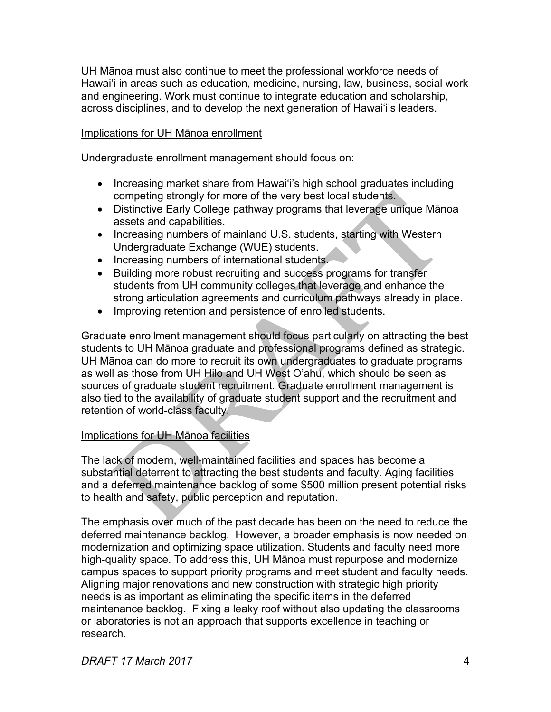UH Mānoa must also continue to meet the professional workforce needs of Hawai'i in areas such as education, medicine, nursing, law, business, social work and engineering. Work must continue to integrate education and scholarship, across disciplines, and to develop the next generation of Hawaiʻi's leaders.

### Implications for UH Mānoa enrollment

Undergraduate enrollment management should focus on:

- Increasing market share from Hawai'i's high school graduates including competing strongly for more of the very best local students.
- Distinctive Early College pathway programs that leverage unique Mānoa assets and capabilities.
- Increasing numbers of mainland U.S. students, starting with Western Undergraduate Exchange (WUE) students.
- Increasing numbers of international students.
- Building more robust recruiting and success programs for transfer students from UH community colleges that leverage and enhance the strong articulation agreements and curriculum pathways already in place.
- Improving retention and persistence of enrolled students.

Graduate enrollment management should focus particularly on attracting the best students to UH Mānoa graduate and professional programs defined as strategic. UH Mānoa can do more to recruit its own undergraduates to graduate programs as well as those from UH Hilo and UH West O'ahu, which should be seen as sources of graduate student recruitment. Graduate enrollment management is also tied to the availability of graduate student support and the recruitment and retention of world-class faculty.

# Implications for UH Mānoa facilities

The lack of modern, well-maintained facilities and spaces has become a substantial deterrent to attracting the best students and faculty. Aging facilities and a deferred maintenance backlog of some \$500 million present potential risks to health and safety, public perception and reputation.

The emphasis over much of the past decade has been on the need to reduce the deferred maintenance backlog. However, a broader emphasis is now needed on modernization and optimizing space utilization. Students and faculty need more high-quality space. To address this, UH Mānoa must repurpose and modernize campus spaces to support priority programs and meet student and faculty needs. Aligning major renovations and new construction with strategic high priority needs is as important as eliminating the specific items in the deferred maintenance backlog. Fixing a leaky roof without also updating the classrooms or laboratories is not an approach that supports excellence in teaching or research.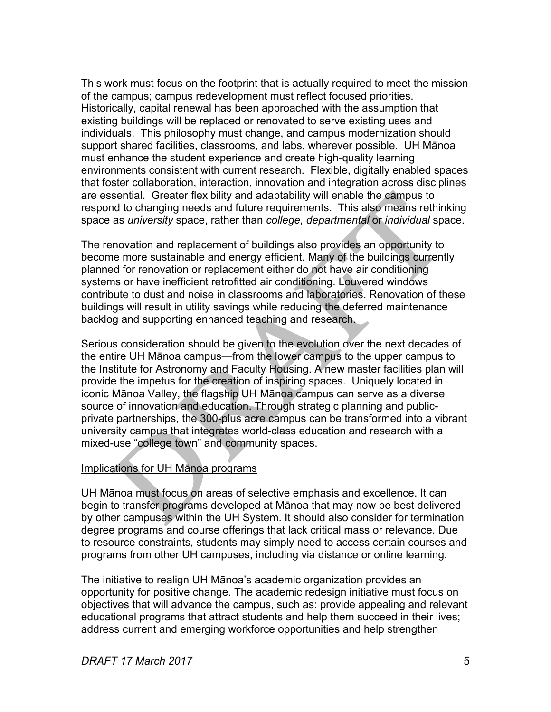This work must focus on the footprint that is actually required to meet the mission of the campus; campus redevelopment must reflect focused priorities. Historically, capital renewal has been approached with the assumption that existing buildings will be replaced or renovated to serve existing uses and individuals. This philosophy must change, and campus modernization should support shared facilities, classrooms, and labs, wherever possible. UH Mānoa must enhance the student experience and create high-quality learning environments consistent with current research. Flexible, digitally enabled spaces that foster collaboration, interaction, innovation and integration across disciplines are essential. Greater flexibility and adaptability will enable the campus to respond to changing needs and future requirements. This also means rethinking space as *university* space, rather than *college, departmental* or *individual* space.

The renovation and replacement of buildings also provides an opportunity to become more sustainable and energy efficient. Many of the buildings currently planned for renovation or replacement either do not have air conditioning systems or have inefficient retrofitted air conditioning. Louvered windows contribute to dust and noise in classrooms and laboratories. Renovation of these buildings will result in utility savings while reducing the deferred maintenance backlog and supporting enhanced teaching and research.

Serious consideration should be given to the evolution over the next decades of the entire UH Mānoa campus—from the lower campus to the upper campus to the Institute for Astronomy and Faculty Housing. A new master facilities plan will provide the impetus for the creation of inspiring spaces. Uniquely located in iconic Mānoa Valley, the flagship UH Mānoa campus can serve as a diverse source of innovation and education. Through strategic planning and publicprivate partnerships, the 300-plus acre campus can be transformed into a vibrant university campus that integrates world-class education and research with a mixed-use "college town" and community spaces.

#### Implications for UH Mānoa programs

UH Mānoa must focus on areas of selective emphasis and excellence. It can begin to transfer programs developed at Mānoa that may now be best delivered by other campuses within the UH System. It should also consider for termination degree programs and course offerings that lack critical mass or relevance. Due to resource constraints, students may simply need to access certain courses and programs from other UH campuses, including via distance or online learning.

The initiative to realign UH Mānoa's academic organization provides an opportunity for positive change. The academic redesign initiative must focus on objectives that will advance the campus, such as: provide appealing and relevant educational programs that attract students and help them succeed in their lives; address current and emerging workforce opportunities and help strengthen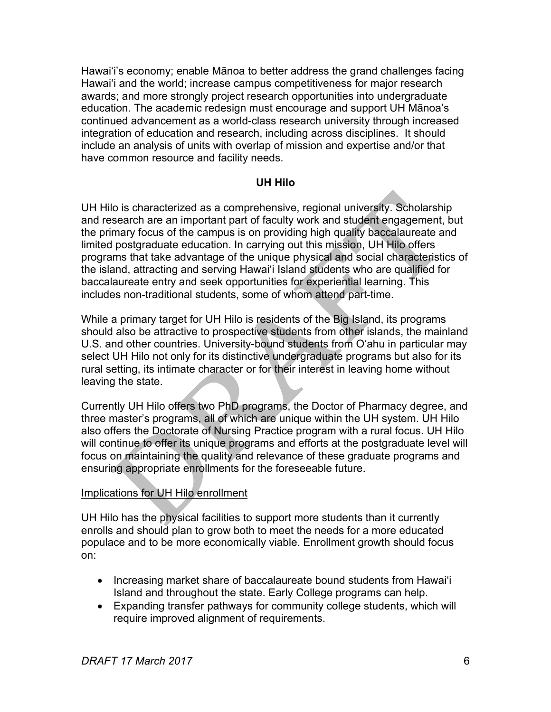Hawaiʻi's economy; enable Mānoa to better address the grand challenges facing Hawaiʻi and the world; increase campus competitiveness for major research awards; and more strongly project research opportunities into undergraduate education. The academic redesign must encourage and support UH Mānoa's continued advancement as a world-class research university through increased integration of education and research, including across disciplines. It should include an analysis of units with overlap of mission and expertise and/or that have common resource and facility needs.

### **UH Hilo**

UH Hilo is characterized as a comprehensive, regional university. Scholarship and research are an important part of faculty work and student engagement, but the primary focus of the campus is on providing high quality baccalaureate and limited postgraduate education. In carrying out this mission, UH Hilo offers programs that take advantage of the unique physical and social characteristics of the island, attracting and serving Hawaiʻi Island students who are qualified for baccalaureate entry and seek opportunities for experiential learning. This includes non-traditional students, some of whom attend part-time.

While a primary target for UH Hilo is residents of the Big Island, its programs should also be attractive to prospective students from other islands, the mainland U.S. and other countries. University-bound students from Oʻahu in particular may select UH Hilo not only for its distinctive undergraduate programs but also for its rural setting, its intimate character or for their interest in leaving home without leaving the state.

Currently UH Hilo offers two PhD programs, the Doctor of Pharmacy degree, and three master's programs, all of which are unique within the UH system. UH Hilo also offers the Doctorate of Nursing Practice program with a rural focus. UH Hilo will continue to offer its unique programs and efforts at the postgraduate level will focus on maintaining the quality and relevance of these graduate programs and ensuring appropriate enrollments for the foreseeable future.

# Implications for UH Hilo enrollment

UH Hilo has the physical facilities to support more students than it currently enrolls and should plan to grow both to meet the needs for a more educated populace and to be more economically viable. Enrollment growth should focus on:

- Increasing market share of baccalaureate bound students from Hawaiʻi Island and throughout the state. Early College programs can help.
- Expanding transfer pathways for community college students, which will require improved alignment of requirements.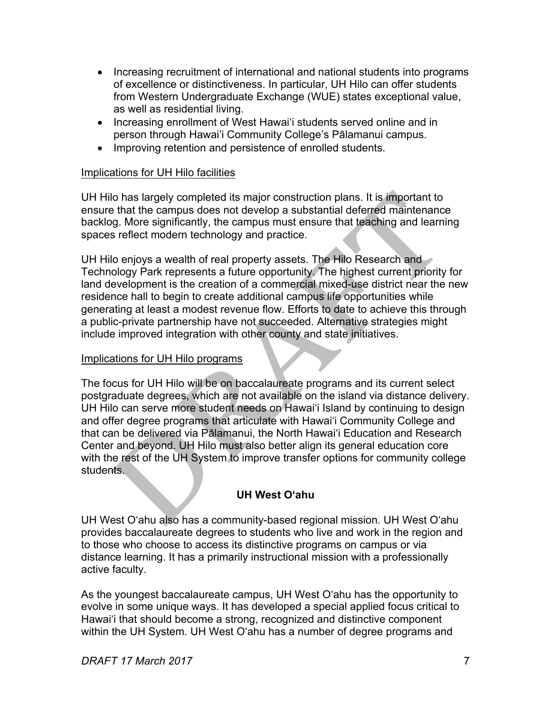- Increasing recruitment of international and national students into programs of excellence or distinctiveness. In particular, UH Hilo can offer students from Western Undergraduate Exchange (WUE) states exceptional value, as well as residential living.
- Increasing enrollment of West Hawai'i students served online and in person through Hawai'i Community College's Pālamanui campus.
- Improving retention and persistence of enrolled students.

# Implications for UH Hilo facilities

UH Hilo has largely completed its major construction plans. It is important to ensure that the campus does not develop a substantial deferred maintenance backlog. More significantly, the campus must ensure that teaching and learning spaces reflect modern technology and practice.

UH Hilo enjoys a wealth of real property assets. The Hilo Research and Technology Park represents a future opportunity. The highest current priority for land development is the creation of a commercial mixed-use district near the new residence hall to begin to create additional campus life opportunities while generating at least a modest revenue flow. Efforts to date to achieve this through a public-private partnership have not succeeded. Alternative strategies might include improved integration with other county and state initiatives.

# Implications for UH Hilo programs

The focus for UH Hilo will be on baccalaureate programs and its current select postgraduate degrees, which are not available on the island via distance delivery. UH Hilo can serve more student needs on Hawaiʻi Island by continuing to design and offer degree programs that articulate with Hawaiʻi Community College and that can be delivered via Pālamanui, the North Hawaiʻi Education and Research Center and beyond. UH Hilo must also better align its general education core with the rest of the UH System to improve transfer options for community college students.

# **UH West O'ahu**

UH West Oʻahu also has a community-based regional mission. UH West Oʻahu provides baccalaureate degrees to students who live and work in the region and to those who choose to access its distinctive programs on campus or via distance learning. It has a primarily instructional mission with a professionally active faculty.

As the youngest baccalaureate campus, UH West Oʻahu has the opportunity to evolve in some unique ways. It has developed a special applied focus critical to Hawaiʻi that should become a strong, recognized and distinctive component within the UH System. UH West Oʻahu has a number of degree programs and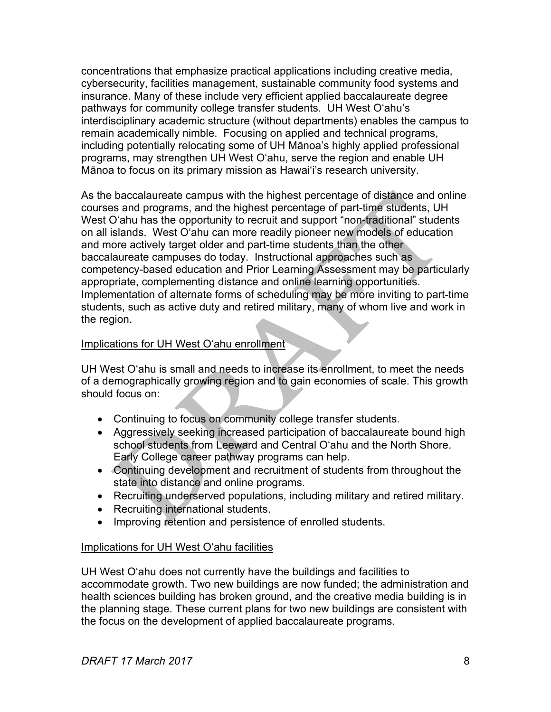concentrations that emphasize practical applications including creative media, cybersecurity, facilities management, sustainable community food systems and insurance. Many of these include very efficient applied baccalaureate degree pathways for community college transfer students. UH West Oʻahu's interdisciplinary academic structure (without departments) enables the campus to remain academically nimble. Focusing on applied and technical programs, including potentially relocating some of UH Mānoa's highly applied professional programs, may strengthen UH West Oʻahu, serve the region and enable UH Mānoa to focus on its primary mission as Hawaiʻi's research university.

As the baccalaureate campus with the highest percentage of distance and online courses and programs, and the highest percentage of part-time students, UH West O'ahu has the opportunity to recruit and support "non-traditional" students on all islands. West Oʻahu can more readily pioneer new models of education and more actively target older and part-time students than the other baccalaureate campuses do today. Instructional approaches such as competency-based education and Prior Learning Assessment may be particularly appropriate, complementing distance and online learning opportunities. Implementation of alternate forms of scheduling may be more inviting to part-time students, such as active duty and retired military, many of whom live and work in the region.

### Implications for UH West Oʻahu enrollment

UH West Oʻahu is small and needs to increase its enrollment, to meet the needs of a demographically growing region and to gain economies of scale. This growth should focus on:

- Continuing to focus on community college transfer students.
- Aggressively seeking increased participation of baccalaureate bound high school students from Leeward and Central O'ahu and the North Shore. Early College career pathway programs can help.
- Continuing development and recruitment of students from throughout the state into distance and online programs.
- Recruiting underserved populations, including military and retired military.
- Recruiting international students.
- Improving retention and persistence of enrolled students.

#### Implications for UH West Oʻahu facilities

UH West Oʻahu does not currently have the buildings and facilities to accommodate growth. Two new buildings are now funded; the administration and health sciences building has broken ground, and the creative media building is in the planning stage. These current plans for two new buildings are consistent with the focus on the development of applied baccalaureate programs.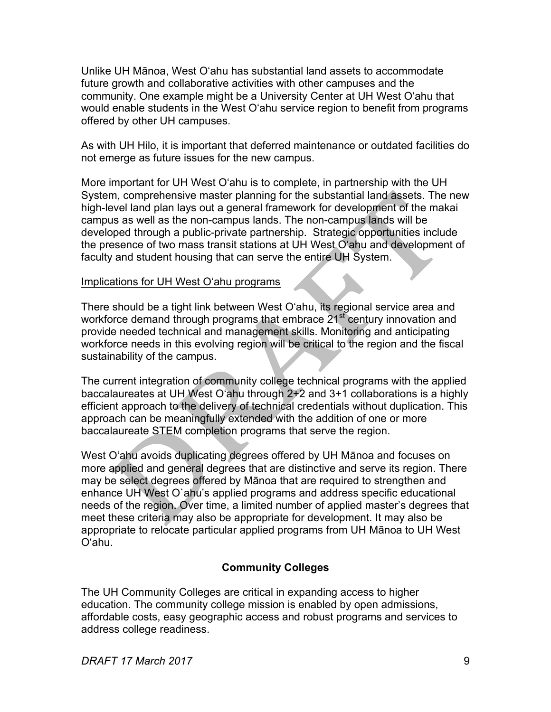Unlike UH Mānoa, West Oʻahu has substantial land assets to accommodate future growth and collaborative activities with other campuses and the community. One example might be a University Center at UH West Oʻahu that would enable students in the West Oʻahu service region to benefit from programs offered by other UH campuses.

As with UH Hilo, it is important that deferred maintenance or outdated facilities do not emerge as future issues for the new campus.

More important for UH West Oʻahu is to complete, in partnership with the UH System, comprehensive master planning for the substantial land assets. The new high-level land plan lays out a general framework for development of the makai campus as well as the non-campus lands. The non-campus lands will be developed through a public-private partnership. Strategic opportunities include the presence of two mass transit stations at UH West Oʻahu and development of faculty and student housing that can serve the entire UH System.

### Implications for UH West Oʻahu programs

There should be a tight link between West Oʻahu, its regional service area and workforce demand through programs that embrace  $21<sup>st</sup>$  century innovation and provide needed technical and management skills. Monitoring and anticipating workforce needs in this evolving region will be critical to the region and the fiscal sustainability of the campus.

The current integration of community college technical programs with the applied baccalaureates at UH West Oʻahu through 2+2 and 3+1 collaborations is a highly efficient approach to the delivery of technical credentials without duplication. This approach can be meaningfully extended with the addition of one or more baccalaureate STEM completion programs that serve the region.

West Oʻahu avoids duplicating degrees offered by UH Mānoa and focuses on more applied and general degrees that are distinctive and serve its region. There may be select degrees offered by Mānoa that are required to strengthen and enhance UH West O`ahu's applied programs and address specific educational needs of the region. Over time, a limited number of applied master's degrees that meet these criteria may also be appropriate for development. It may also be appropriate to relocate particular applied programs from UH Mānoa to UH West O'ahu.

# **Community Colleges**

The UH Community Colleges are critical in expanding access to higher education. The community college mission is enabled by open admissions, affordable costs, easy geographic access and robust programs and services to address college readiness.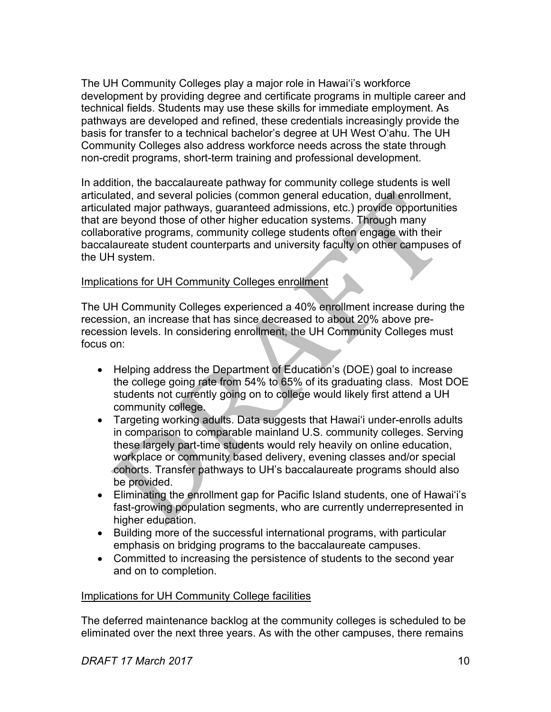The UH Community Colleges play a major role in Hawaiʻi's workforce development by providing degree and certificate programs in multiple career and technical fields. Students may use these skills for immediate employment. As pathways are developed and refined, these credentials increasingly provide the basis for transfer to a technical bachelor's degree at UH West O'ahu. The UH Community Colleges also address workforce needs across the state through non-credit programs, short-term training and professional development.

In addition, the baccalaureate pathway for community college students is well articulated, and several policies (common general education, dual enrollment, articulated major pathways, guaranteed admissions, etc.) provide opportunities that are beyond those of other higher education systems. Through many collaborative programs, community college students often engage with their baccalaureate student counterparts and university faculty on other campuses of the UH system.

#### Implications for UH Community Colleges enrollment

The UH Community Colleges experienced a 40% enrollment increase during the recession, an increase that has since decreased to about 20% above prerecession levels. In considering enrollment, the UH Community Colleges must focus on:

- Helping address the Department of Education's (DOE) goal to increase the college going rate from 54% to 65% of its graduating class. Most DOE students not currently going on to college would likely first attend a UH community college.
- Targeting working adults. Data suggests that Hawaiʻi under-enrolls adults in comparison to comparable mainland U.S. community colleges. Serving these largely part-time students would rely heavily on online education, workplace or community based delivery, evening classes and/or special cohorts. Transfer pathways to UH's baccalaureate programs should also be provided.
- Eliminating the enrollment gap for Pacific Island students, one of Hawaiʻi's fast-growing population segments, who are currently underrepresented in higher education.
- Building more of the successful international programs, with particular emphasis on bridging programs to the baccalaureate campuses.
- Committed to increasing the persistence of students to the second year and on to completion.

#### Implications for UH Community College facilities

The deferred maintenance backlog at the community colleges is scheduled to be eliminated over the next three years. As with the other campuses, there remains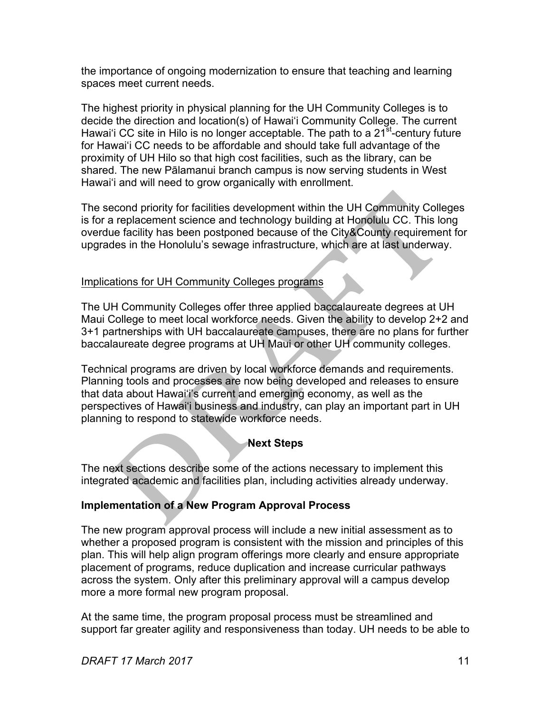the importance of ongoing modernization to ensure that teaching and learning spaces meet current needs.

The highest priority in physical planning for the UH Community Colleges is to decide the direction and location(s) of Hawai'i Community College. The current Hawai'i CC site in Hilo is no longer acceptable. The path to a  $21<sup>st</sup>$ -century future for Hawaiʻi CC needs to be affordable and should take full advantage of the proximity of UH Hilo so that high cost facilities, such as the library, can be shared. The new Pālamanui branch campus is now serving students in West Hawaiʻi and will need to grow organically with enrollment.

The second priority for facilities development within the UH Community Colleges is for a replacement science and technology building at Honolulu CC. This long overdue facility has been postponed because of the City&County requirement for upgrades in the Honolulu's sewage infrastructure, which are at last underway.

### Implications for UH Community Colleges programs

The UH Community Colleges offer three applied baccalaureate degrees at UH Maui College to meet local workforce needs. Given the ability to develop 2+2 and 3+1 partnerships with UH baccalaureate campuses, there are no plans for further baccalaureate degree programs at UH Maui or other UH community colleges.

Technical programs are driven by local workforce demands and requirements. Planning tools and processes are now being developed and releases to ensure that data about Hawaiʻi's current and emerging economy, as well as the perspectives of Hawaiʻi business and industry, can play an important part in UH planning to respond to statewide workforce needs.

# **Next Steps**

The next sections describe some of the actions necessary to implement this integrated academic and facilities plan, including activities already underway.

#### **Implementation of a New Program Approval Process**

The new program approval process will include a new initial assessment as to whether a proposed program is consistent with the mission and principles of this plan. This will help align program offerings more clearly and ensure appropriate placement of programs, reduce duplication and increase curricular pathways across the system. Only after this preliminary approval will a campus develop more a more formal new program proposal.

At the same time, the program proposal process must be streamlined and support far greater agility and responsiveness than today. UH needs to be able to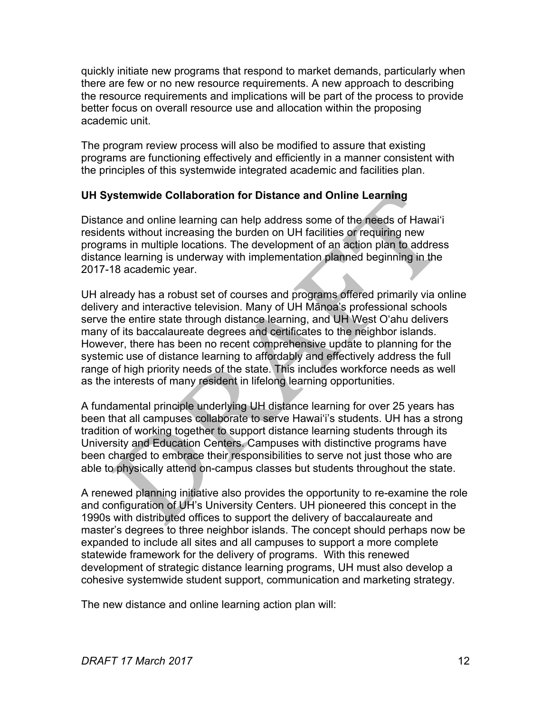quickly initiate new programs that respond to market demands, particularly when there are few or no new resource requirements. A new approach to describing the resource requirements and implications will be part of the process to provide better focus on overall resource use and allocation within the proposing academic unit.

The program review process will also be modified to assure that existing programs are functioning effectively and efficiently in a manner consistent with the principles of this systemwide integrated academic and facilities plan.

# **UH Systemwide Collaboration for Distance and Online Learning**

Distance and online learning can help address some of the needs of Hawaiʻi residents without increasing the burden on UH facilities or requiring new programs in multiple locations. The development of an action plan to address distance learning is underway with implementation planned beginning in the 2017-18 academic year.

UH already has a robust set of courses and programs offered primarily via online delivery and interactive television. Many of UH Mānoa's professional schools serve the entire state through distance learning, and UH West O'ahu delivers many of its baccalaureate degrees and certificates to the neighbor islands. However, there has been no recent comprehensive update to planning for the systemic use of distance learning to affordably and effectively address the full range of high priority needs of the state. This includes workforce needs as well as the interests of many resident in lifelong learning opportunities.

A fundamental principle underlying UH distance learning for over 25 years has been that all campuses collaborate to serve Hawaiʻi's students. UH has a strong tradition of working together to support distance learning students through its University and Education Centers. Campuses with distinctive programs have been charged to embrace their responsibilities to serve not just those who are able to physically attend on-campus classes but students throughout the state.

A renewed planning initiative also provides the opportunity to re-examine the role and configuration of UH's University Centers. UH pioneered this concept in the 1990s with distributed offices to support the delivery of baccalaureate and master's degrees to three neighbor islands. The concept should perhaps now be expanded to include all sites and all campuses to support a more complete statewide framework for the delivery of programs. With this renewed development of strategic distance learning programs, UH must also develop a cohesive systemwide student support, communication and marketing strategy.

The new distance and online learning action plan will: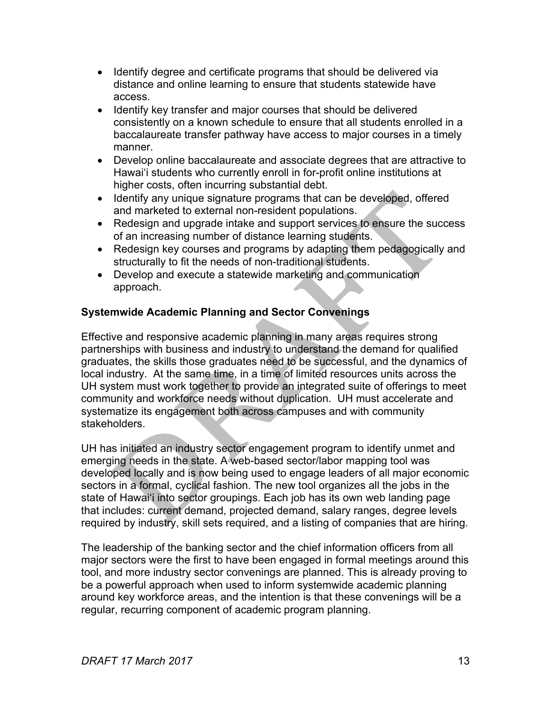- Identify degree and certificate programs that should be delivered via distance and online learning to ensure that students statewide have access.
- Identify key transfer and major courses that should be delivered consistently on a known schedule to ensure that all students enrolled in a baccalaureate transfer pathway have access to major courses in a timely manner.
- Develop online baccalaureate and associate degrees that are attractive to Hawaiʻi students who currently enroll in for-profit online institutions at higher costs, often incurring substantial debt.
- Identify any unique signature programs that can be developed, offered and marketed to external non-resident populations.
- Redesign and upgrade intake and support services to ensure the success of an increasing number of distance learning students.
- Redesign key courses and programs by adapting them pedagogically and structurally to fit the needs of non-traditional students.
- Develop and execute a statewide marketing and communication approach.

# **Systemwide Academic Planning and Sector Convenings**

Effective and responsive academic planning in many areas requires strong partnerships with business and industry to understand the demand for qualified graduates, the skills those graduates need to be successful, and the dynamics of local industry. At the same time, in a time of limited resources units across the UH system must work together to provide an integrated suite of offerings to meet community and workforce needs without duplication. UH must accelerate and systematize its engagement both across campuses and with community stakeholders.

UH has initiated an industry sector engagement program to identify unmet and emerging needs in the state. A web-based sector/labor mapping tool was developed locally and is now being used to engage leaders of all major economic sectors in a formal, cyclical fashion. The new tool organizes all the jobs in the state of Hawai'i into sector groupings. Each job has its own web landing page that includes: current demand, projected demand, salary ranges, degree levels required by industry, skill sets required, and a listing of companies that are hiring.

The leadership of the banking sector and the chief information officers from all major sectors were the first to have been engaged in formal meetings around this tool, and more industry sector convenings are planned. This is already proving to be a powerful approach when used to inform systemwide academic planning around key workforce areas, and the intention is that these convenings will be a regular, recurring component of academic program planning.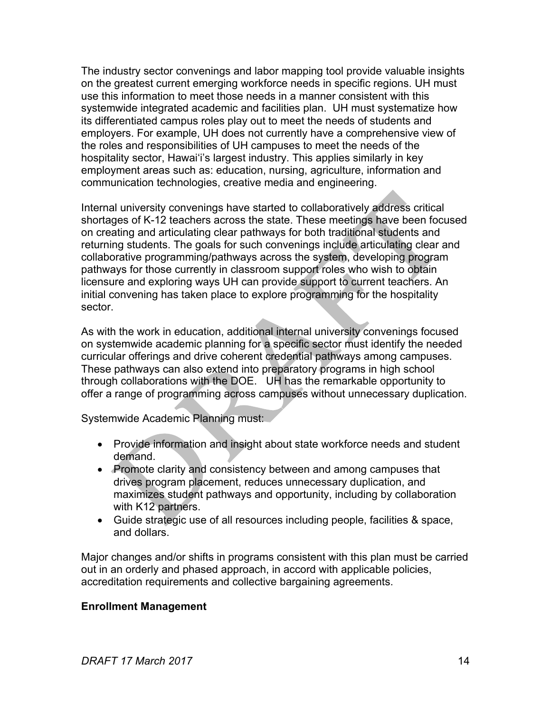The industry sector convenings and labor mapping tool provide valuable insights on the greatest current emerging workforce needs in specific regions. UH must use this information to meet those needs in a manner consistent with this systemwide integrated academic and facilities plan. UH must systematize how its differentiated campus roles play out to meet the needs of students and employers. For example, UH does not currently have a comprehensive view of the roles and responsibilities of UH campuses to meet the needs of the hospitality sector, Hawaiʻi's largest industry. This applies similarly in key employment areas such as: education, nursing, agriculture, information and communication technologies, creative media and engineering.

Internal university convenings have started to collaboratively address critical shortages of K-12 teachers across the state. These meetings have been focused on creating and articulating clear pathways for both traditional students and returning students. The goals for such convenings include articulating clear and collaborative programming/pathways across the system, developing program pathways for those currently in classroom support roles who wish to obtain licensure and exploring ways UH can provide support to current teachers. An initial convening has taken place to explore programming for the hospitality sector.

As with the work in education, additional internal university convenings focused on systemwide academic planning for a specific sector must identify the needed curricular offerings and drive coherent credential pathways among campuses. These pathways can also extend into preparatory programs in high school through collaborations with the DOE. UH has the remarkable opportunity to offer a range of programming across campuses without unnecessary duplication.

Systemwide Academic Planning must:

- Provide information and insight about state workforce needs and student demand.
- Promote clarity and consistency between and among campuses that drives program placement, reduces unnecessary duplication, and maximizes student pathways and opportunity, including by collaboration with K12 partners.
- Guide strategic use of all resources including people, facilities & space, and dollars.

Major changes and/or shifts in programs consistent with this plan must be carried out in an orderly and phased approach, in accord with applicable policies, accreditation requirements and collective bargaining agreements.

# **Enrollment Management**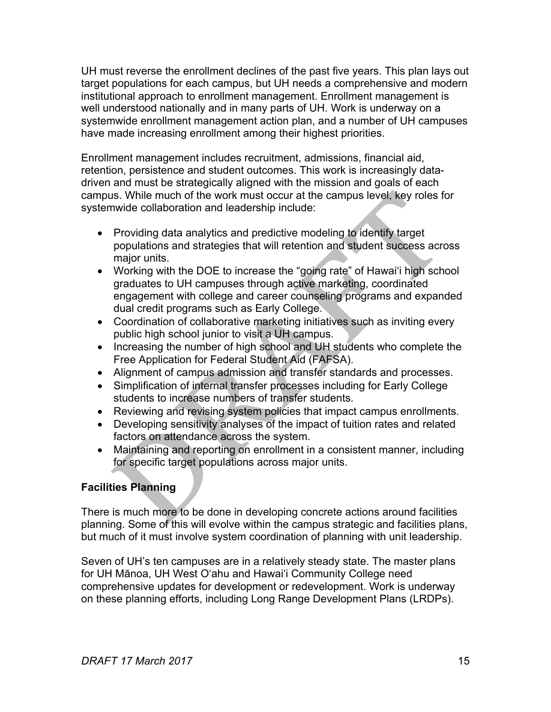UH must reverse the enrollment declines of the past five years. This plan lays out target populations for each campus, but UH needs a comprehensive and modern institutional approach to enrollment management. Enrollment management is well understood nationally and in many parts of UH. Work is underway on a systemwide enrollment management action plan, and a number of UH campuses have made increasing enrollment among their highest priorities.

Enrollment management includes recruitment, admissions, financial aid, retention, persistence and student outcomes. This work is increasingly datadriven and must be strategically aligned with the mission and goals of each campus. While much of the work must occur at the campus level, key roles for systemwide collaboration and leadership include:

- Providing data analytics and predictive modeling to identify target populations and strategies that will retention and student success across major units.
- Working with the DOE to increase the "going rate" of Hawaiʻi high school graduates to UH campuses through active marketing, coordinated engagement with college and career counseling programs and expanded dual credit programs such as Early College.
- Coordination of collaborative marketing initiatives such as inviting every public high school junior to visit a UH campus.
- Increasing the number of high school and UH students who complete the Free Application for Federal Student Aid (FAFSA).
- Alignment of campus admission and transfer standards and processes.
- Simplification of internal transfer processes including for Early College students to increase numbers of transfer students.
- Reviewing and revising system policies that impact campus enrollments.
- Developing sensitivity analyses of the impact of tuition rates and related factors on attendance across the system.
- Maintaining and reporting on enrollment in a consistent manner, including for specific target populations across major units.

# **Facilities Planning**

There is much more to be done in developing concrete actions around facilities planning. Some of this will evolve within the campus strategic and facilities plans, but much of it must involve system coordination of planning with unit leadership.

Seven of UH's ten campuses are in a relatively steady state. The master plans for UH Mānoa, UH West Oʻahu and Hawaiʻi Community College need comprehensive updates for development or redevelopment. Work is underway on these planning efforts, including Long Range Development Plans (LRDPs).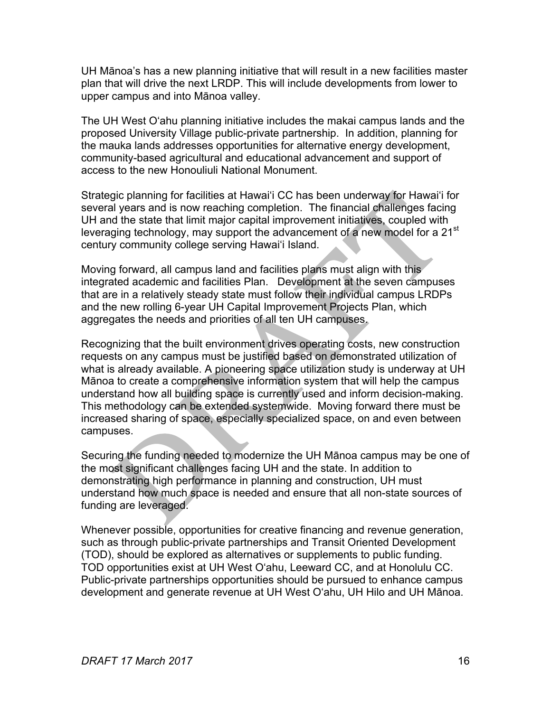UH Mānoa's has a new planning initiative that will result in a new facilities master plan that will drive the next LRDP. This will include developments from lower to upper campus and into Mānoa valley.

The UH West Oʻahu planning initiative includes the makai campus lands and the proposed University Village public-private partnership. In addition, planning for the mauka lands addresses opportunities for alternative energy development, community-based agricultural and educational advancement and support of access to the new Honouliuli National Monument.

Strategic planning for facilities at Hawaiʻi CC has been underway for Hawaiʻi for several years and is now reaching completion. The financial challenges facing UH and the state that limit major capital improvement initiatives, coupled with leveraging technology, may support the advancement of a new model for a 21<sup>st</sup> century community college serving Hawaiʻi Island.

Moving forward, all campus land and facilities plans must align with this integrated academic and facilities Plan. Development at the seven campuses that are in a relatively steady state must follow their individual campus LRDPs and the new rolling 6-year UH Capital Improvement Projects Plan, which aggregates the needs and priorities of all ten UH campuses.

Recognizing that the built environment drives operating costs, new construction requests on any campus must be justified based on demonstrated utilization of what is already available. A pioneering space utilization study is underway at UH Mānoa to create a comprehensive information system that will help the campus understand how all building space is currently used and inform decision-making. This methodology can be extended systemwide. Moving forward there must be increased sharing of space, especially specialized space, on and even between campuses.

Securing the funding needed to modernize the UH Mānoa campus may be one of the most significant challenges facing UH and the state. In addition to demonstrating high performance in planning and construction, UH must understand how much space is needed and ensure that all non-state sources of funding are leveraged.

Whenever possible, opportunities for creative financing and revenue generation, such as through public-private partnerships and Transit Oriented Development (TOD), should be explored as alternatives or supplements to public funding. TOD opportunities exist at UH West Oʻahu, Leeward CC, and at Honolulu CC. Public-private partnerships opportunities should be pursued to enhance campus development and generate revenue at UH West Oʻahu, UH Hilo and UH Mānoa.